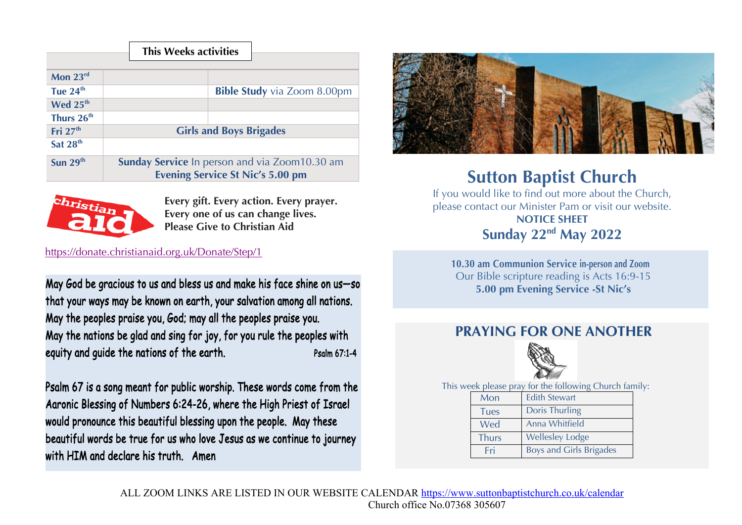|                        | <b>This Weeks activities</b>                         |
|------------------------|------------------------------------------------------|
| Mon 23rd               |                                                      |
| Tue $24th$             | <b>Bible Study</b> via Zoom 8.00pm                   |
| Wed 25 <sup>th</sup>   |                                                      |
| Thurs 26 <sup>th</sup> |                                                      |
| Fri $27th$             | <b>Girls and Boys Brigades</b>                       |
| Sat 28 <sup>th</sup>   |                                                      |
| Sun $29th$             | <b>Sunday Service</b> In person and via Zoom10.30 am |
|                        | <b>Evening Service St Nic's 5.00 pm</b>              |



**Every gift. Every action. Every prayer. Every one of us can change lives. Please Give to Christian Aid**

## https://donate.christianaid.org.uk/Donate/Step/1

May God be gracious to us and bless us and make his face shine on us—so that your ways may be known on earth, your salvation among all nations. May the peoples praise you, God; may all the peoples praise you. May the nations be glad and sing for joy, for you rule the peoples with equity and quide the nations of the earth. Psalm 67:1-4

Psalm 67 is a song meant for public worship. These words come from the Aaronic Blessing of Numbers 6:24-26, where the High Priest of Israel would pronounce this beautiful blessing upon the people. May these beautiful words be true for us who love Jesus as we continue to journey with HIM and declare his truth. Amen



## **Sutton Baptist Church**

If you would like to find out more about the Church, please contact our Minister Pam or visit our website. **NOTICE SHEET Sunday 22nd May 2022**

**10.30 am Communion Service in-person and Zoom** Our Bible scripture reading is Acts 16:9-15 **5.00 pm Evening Service -St Nic's** 

## **PRAYING FOR ONE ANOTHER**



This week please pray for the following Church family:

| Mon          | <b>Edith Stewart</b>           |
|--------------|--------------------------------|
| <b>Tues</b>  | Doris Thurling                 |
| Wed          | Anna Whitfield                 |
| <b>Thurs</b> | <b>Wellesley Lodge</b>         |
| Fri          | <b>Boys and Girls Brigades</b> |